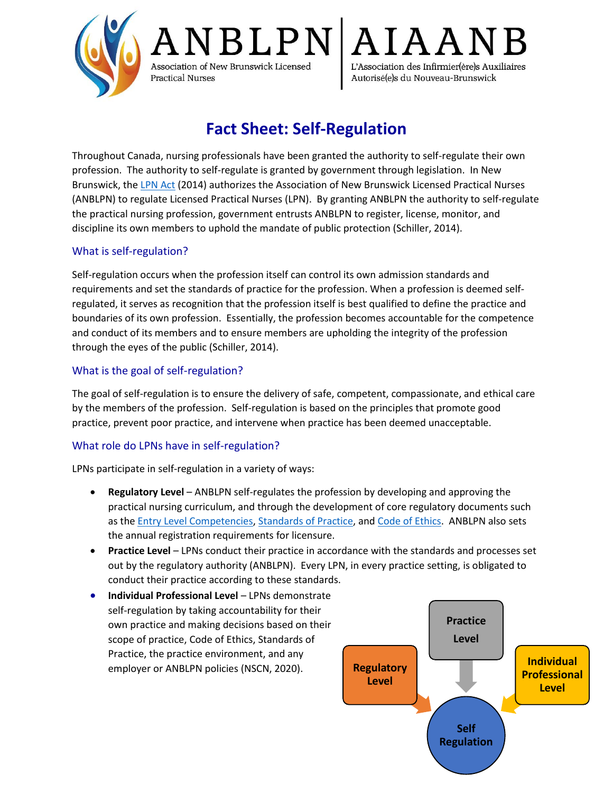

**BLPN** Association of New Brunswick Licensed L'Association des Infirmier(ère)s Auxiliaires **Practical Nurses** Autorisé(e)s du Nouveau-Brunswick

# **Fact Sheet: Self-Regulation**

Throughout Canada, nursing professionals have been granted the authority to self-regulate their own profession. The authority to self-regulate is granted by government through legislation. In New Brunswick, the [LPN Act](https://www.anblpn.ca/wp-content/uploads/2021/04/LPN_Act-2014.pdf) (2014) authorizes the Association of New Brunswick Licensed Practical Nurses (ANBLPN) to regulate Licensed Practical Nurses (LPN). By granting ANBLPN the authority to self-regulate the practical nursing profession, government entrusts ANBLPN to register, license, monitor, and discipline its own members to uphold the mandate of public protection (Schiller, 2014).

# What is self-regulation?

Self-regulation occurs when the profession itself can control its own admission standards and requirements and set the standards of practice for the profession. When a profession is deemed selfregulated, it serves as recognition that the profession itself is best qualified to define the practice and boundaries of its own profession. Essentially, the profession becomes accountable for the competence and conduct of its members and to ensure members are upholding the integrity of the profession through the eyes of the public (Schiller, 2014).

# What is the goal of self-regulation?

The goal of self-regulation is to ensure the delivery of safe, competent, compassionate, and ethical care by the members of the profession. Self-regulation is based on the principles that promote good practice, prevent poor practice, and intervene when practice has been deemed unacceptable.

# What role do LPNs have in self-regulation?

LPNs participate in self-regulation in a variety of ways:

- **Regulatory Level** ANBLPN self-regulates the profession by developing and approving the practical nursing curriculum, and through the development of core regulatory documents such as the **Entry Level Competencies, Standards of Practice**, and [Code of Ethics.](https://www.anblpn.ca/wp-content/uploads/2021/04/Code_of_Ethics_2013.pdf) ANBLPN also sets the annual registration requirements for licensure.
- **Practice Level**  LPNs conduct their practice in accordance with the standards and processes set out by the regulatory authority (ANBLPN). Every LPN, in every practice setting, is obligated to conduct their practice according to these standards.
- **Individual Professional Level LPNs demonstrate** self-regulation by taking accountability for their own practice and making decisions based on their scope of practice, Code of Ethics, Standards of Practice, the practice environment, and any employer or ANBLPN policies (NSCN, 2020).